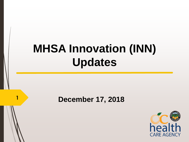# **MHSA Innovation (INN) Updates**

#### **December 17, 2018 1**

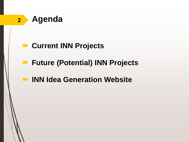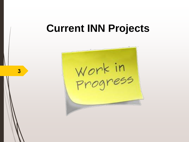# **Current INN Projects**

Work in<br>Progress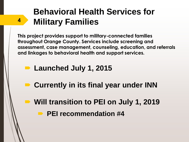## **Behavioral Health Services for Military Families**

**This project provides support to military-connected families throughout Orange County. Services include screening and assessment, case management, counseling, education, and referrals and linkages to behavioral health and support services.** 

#### ■ Launched July 1, 2015

- **Currently in its final year under INN**
- Will transition to PEI on July 1, 2019
	- **PEI recommendation #4**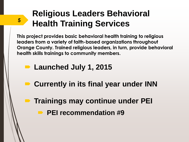## **Religious Leaders Behavioral s Health Training Services**

**This project provides basic behavioral health training to religious leaders from a variety of faith-based organizations throughout Orange County. Trained religious leaders, in turn, provide behavioral health skills trainings to community members.** 

#### ■ Launched July 1, 2015

- **Currently in its final year under INN**
- **Trainings may continue under PEI PEI recommendation #9**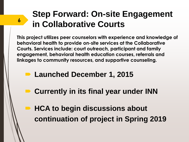## **Step Forward: On-site Engagement in Collaborative Courts <sup>6</sup>**

**This project utilizes peer counselors with experience and knowledge of behavioral health to provide on-site services at the Collaborative Courts. Services include: court outreach, participant and family engagement, behavioral health education courses, referrals and linkages to community resources, and supportive counseling.** 

- **Launched December 1, 2015**
- Currently in its final year under **INN** 
	- **HCA to begin discussions about continuation of project in Spring 2019**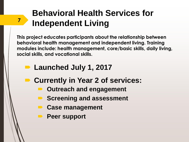## **Behavioral Health Services for Independent Living <sup>7</sup>**

**This project educates participants about the relationship between behavioral health management and independent living. Training modules include: health management, core/basic skills, daily living, social skills, and vocational skills.** 

- Launched July 1, 2017
- **Currently in Year 2 of services:**
	- **Outreach and engagement**
	- **Screening and assessment**
	- **Case management**
	- **Peer support**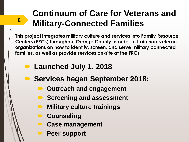## **Continuum of Care for Veterans and Military-Connected Families <sup>8</sup>**

**This project integrates military culture and services into Family Resource Centers (FRCs) throughout Orange County in order to train non-veteran organizations on how to identify, screen, and serve military connected families, as well as provide services on-site at the FRCs.**

- **Launched July 1, 2018**
- **Services began September 2018:**
	- **Outreach and engagement**
	- **B** Screening and assessment
		- **Military culture trainings**
		- **Counseling**
		- **Case management**
		- **Peer support**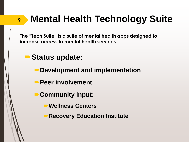# **Mental Health Technology Suite**

**The "Tech Suite" is a suite of mental health apps designed to increase access to mental health services** 

**Status update:**

- **Development and implementation**
- **Peer involvement**
- **Community input:** 
	- **Wellness Centers**
	- **Recovery Education Institute**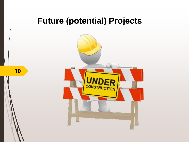#### **Future (potential) Projects**

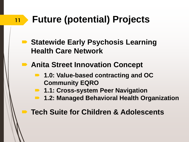#### **Future (potential) Projects 11**

- Statewide Early Psychosis Learning **Health Care Network**
- **Anita Street Innovation Concept** 
	- 1.0: Value-based contracting and OC **Community EQRO**
	- **1.1: Cross-system Peer Navigation** 
		- **1.2: Managed Behavioral Health Organization**

**Tech Suite for Children & Adolescents**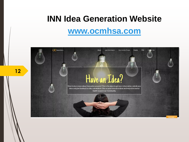### **INN Idea Generation Website**

#### **[www.ocmhsa.com](http://www.ocmhsa.com/)**

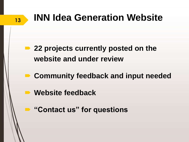# **INN Idea Generation Website**

- 22 projects currently posted on the **website and under review**
- **Community feedback and input needed**
- **Website feedback**

**13**

**"Contact us" for questions**